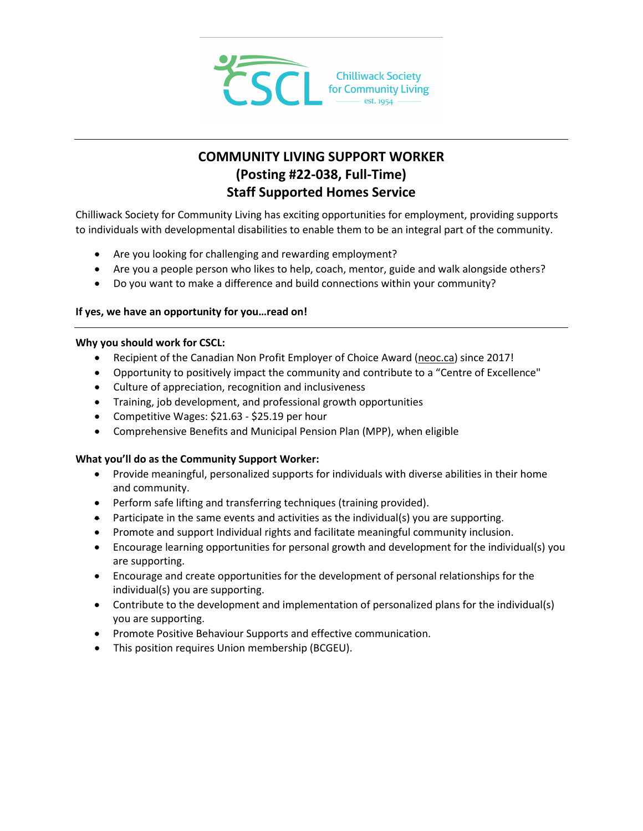

# **COMMUNITY LIVING SUPPORT WORKER (Posting #22-038, Full-Time) Staff Supported Homes Service**

Chilliwack Society for Community Living has exciting opportunities for employment, providing supports to individuals with developmental disabilities to enable them to be an integral part of the community.

- Are you looking for challenging and rewarding employment?
- Are you a people person who likes to help, coach, mentor, guide and walk alongside others?
- Do you want to make a difference and build connections within your community?

# **If yes, we have an opportunity for you…read on!**

# **Why you should work for CSCL:**

- Recipient of the Canadian Non Profit Employer of Choice Award [\(neoc.ca\)](http://neoc.ca/) since 2017!
- Opportunity to positively impact the community and contribute to a "Centre of Excellence"
- Culture of appreciation, recognition and inclusiveness
- Training, job development, and professional growth opportunities
- Competitive Wages: \$21.63 \$25.19 per hour
- Comprehensive Benefits and Municipal Pension Plan (MPP), when eligible

# **What you'll do as the Community Support Worker:**

- Provide meaningful, personalized supports for individuals with diverse abilities in their home and community.
- Perform safe lifting and transferring techniques (training provided).
- Participate in the same events and activities as the individual(s) you are supporting.
- Promote and support Individual rights and facilitate meaningful community inclusion.
- Encourage learning opportunities for personal growth and development for the individual(s) you are supporting.
- Encourage and create opportunities for the development of personal relationships for the individual(s) you are supporting.
- Contribute to the development and implementation of personalized plans for the individual(s) you are supporting.
- Promote Positive Behaviour Supports and effective communication.
- This position requires Union membership (BCGEU).